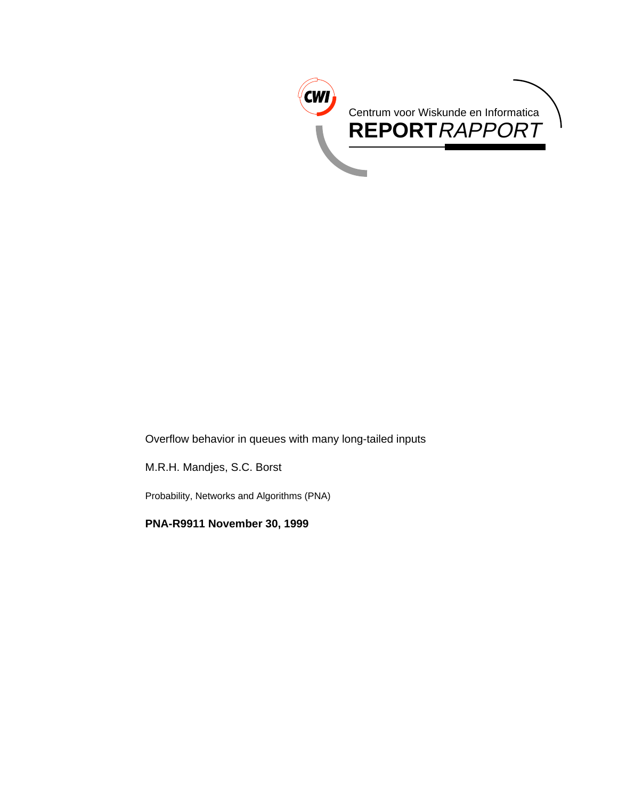

Overflow behavior in queues with many long-tailed inputs

M.R.H. Mandjes, S.C. Borst

Probability, Networks and Algorithms (PNA)

**PNA-R9911 November 30, 1999**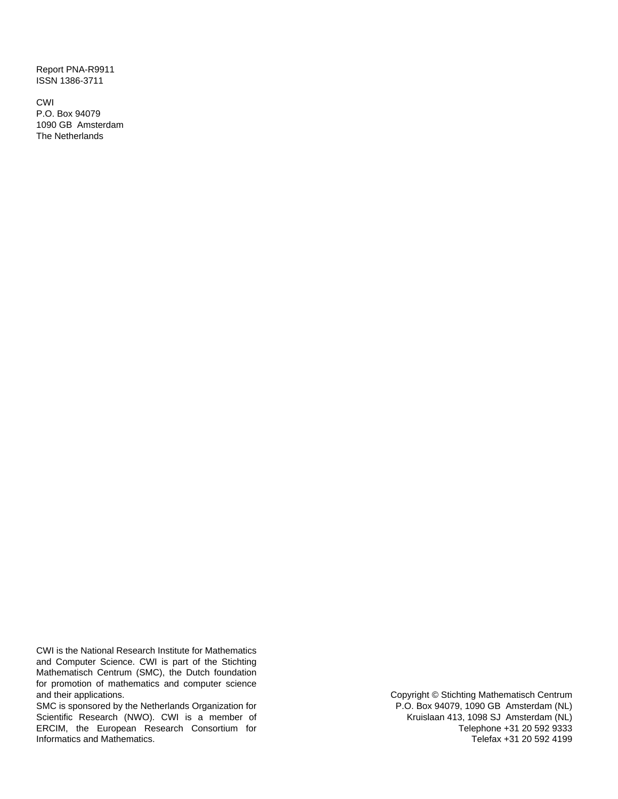Report PNA-R9911 ISSN 1386-3711

CWI P.O. Box 94079 1090 GB Amsterdam The Netherlands

CWI is the National Research Institute for Mathematics and Computer Science. CWI is part of the Stichting Mathematisch Centrum (SMC), the Dutch foundation for promotion of mathematics and computer science and their applications.

SMC is sponsored by the Netherlands Organization for Scientific Research (NWO). CWI is a member of ERCIM, the European Research Consortium for Informatics and Mathematics.

Copyright © Stichting Mathematisch Centrum P.O. Box 94079, 1090 GB Amsterdam (NL) Kruislaan 413, 1098 SJ Amsterdam (NL) Telephone +31 20 592 9333 Telefax +31 20 592 4199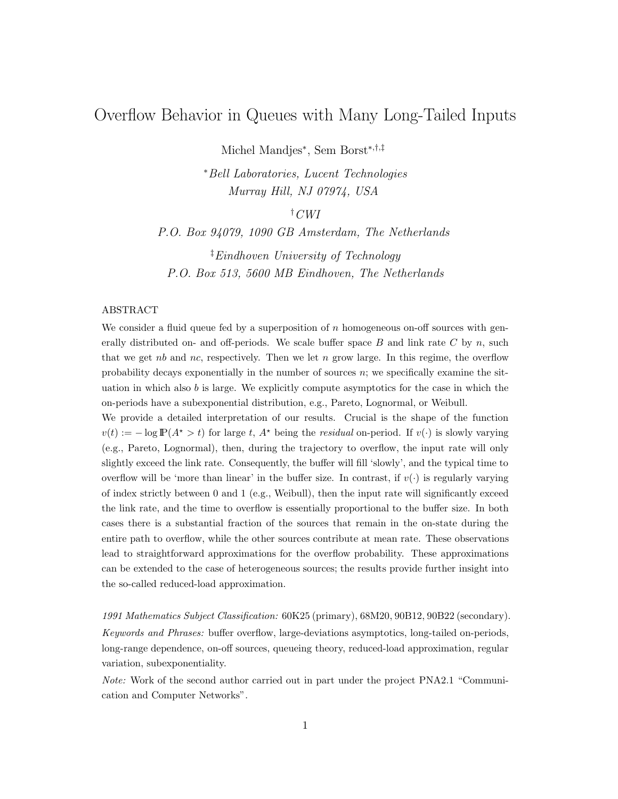# Overflow Behavior in Queues with Many Long-Tailed Inputs

Michel Mandjes*∗*, Sem Borst*∗*,*†*,*‡*

*<sup>∗</sup>*Bell Laboratories, Lucent Technologies Murray Hill, NJ 07974, USA

*†* CWI

P.O. Box 94079, 1090 GB Amsterdam, The Netherlands *‡*Eindhoven University of Technology

P.O. Box 513, 5600 MB Eindhoven, The Netherlands

## ABSTRACT

We consider a fluid queue fed by a superposition of  $n$  homogeneous on-off sources with generally distributed on- and off-periods. We scale buffer space  $B$  and link rate  $C$  by  $n$ , such that we get nb and nc, respectively. Then we let n grow large. In this regime, the overflow probability decays exponentially in the number of sources  $n$ ; we specifically examine the situation in which also  $b$  is large. We explicitly compute asymptotics for the case in which the on-periods have a subexponential distribution, e.g., Pareto, Lognormal, or Weibull.

We provide a detailed interpretation of our results. Crucial is the shape of the function  $v(t) := -\log \mathbb{P}(A^* > t)$  for large t,  $A^*$  being the *residual* on-period. If  $v(\cdot)$  is slowly varying (e.g., Pareto, Lognormal), then, during the trajectory to overflow, the input rate will only slightly exceed the link rate. Consequently, the buffer will fill 'slowly', and the typical time to overflow will be 'more than linear' in the buffer size. In contrast, if  $v(\cdot)$  is regularly varying of index strictly between 0 and 1 (e.g., Weibull), then the input rate will significantly exceed the link rate, and the time to overflow is essentially proportional to the buffer size. In both cases there is a substantial fraction of the sources that remain in the on-state during the entire path to overflow, while the other sources contribute at mean rate. These observations lead to straightforward approximations for the overflow probability. These approximations can be extended to the case of heterogeneous sources; the results provide further insight into the so-called reduced-load approximation.

1991 Mathematics Subject Classification: 60K25 (primary), 68M20, 90B12, 90B22 (secondary). Keywords and Phrases: buffer overflow, large-deviations asymptotics, long-tailed on-periods, long-range dependence, on-off sources, queueing theory, reduced-load approximation, regular variation, subexponentiality.

Note: Work of the second author carried out in part under the project PNA2.1 "Communication and Computer Networks".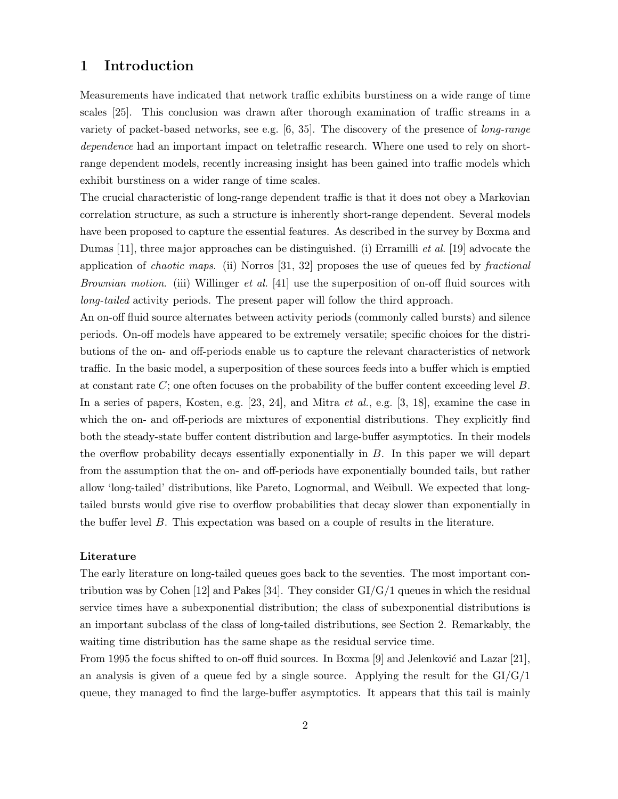# **1 Introduction**

Measurements have indicated that network traffic exhibits burstiness on a wide range of time scales [25]. This conclusion was drawn after thorough examination of traffic streams in a variety of packet-based networks, see e.g. [6, 35]. The discovery of the presence of long-range dependence had an important impact on teletraffic research. Where one used to rely on shortrange dependent models, recently increasing insight has been gained into traffic models which exhibit burstiness on a wider range of time scales.

The crucial characteristic of long-range dependent traffic is that it does not obey a Markovian correlation structure, as such a structure is inherently short-range dependent. Several models have been proposed to capture the essential features. As described in the survey by Boxma and Dumas [11], three major approaches can be distinguished. (i) Erramilli *et al.* [19] advocate the application of *chaotic maps.* (ii) Norros  $[31, 32]$  proposes the use of queues fed by *fractional* Brownian motion. (iii) Willinger *et al.* [41] use the superposition of on-off fluid sources with long-tailed activity periods. The present paper will follow the third approach.

An on-off fluid source alternates between activity periods (commonly called bursts) and silence periods. On-off models have appeared to be extremely versatile; specific choices for the distributions of the on- and off-periods enable us to capture the relevant characteristics of network traffic. In the basic model, a superposition of these sources feeds into a buffer which is emptied at constant rate  $C$ ; one often focuses on the probability of the buffer content exceeding level  $B$ . In a series of papers, Kosten, e.g. [23, 24], and Mitra *et al.*, e.g. [3, 18], examine the case in which the on- and off-periods are mixtures of exponential distributions. They explicitly find both the steady-state buffer content distribution and large-buffer asymptotics. In their models the overflow probability decays essentially exponentially in B. In this paper we will depart from the assumption that the on- and off-periods have exponentially bounded tails, but rather allow 'long-tailed' distributions, like Pareto, Lognormal, and Weibull. We expected that longtailed bursts would give rise to overflow probabilities that decay slower than exponentially in the buffer level B. This expectation was based on a couple of results in the literature.

#### **Literature**

The early literature on long-tailed queues goes back to the seventies. The most important contribution was by Cohen [12] and Pakes [34]. They consider  $GI/G/1$  queues in which the residual service times have a subexponential distribution; the class of subexponential distributions is an important subclass of the class of long-tailed distributions, see Section 2. Remarkably, the waiting time distribution has the same shape as the residual service time.

From 1995 the focus shifted to on-off fluid sources. In Boxma [9] and Jelenković and Lazar [21], an analysis is given of a queue fed by a single source. Applying the result for the  $GI/G/1$ queue, they managed to find the large-buffer asymptotics. It appears that this tail is mainly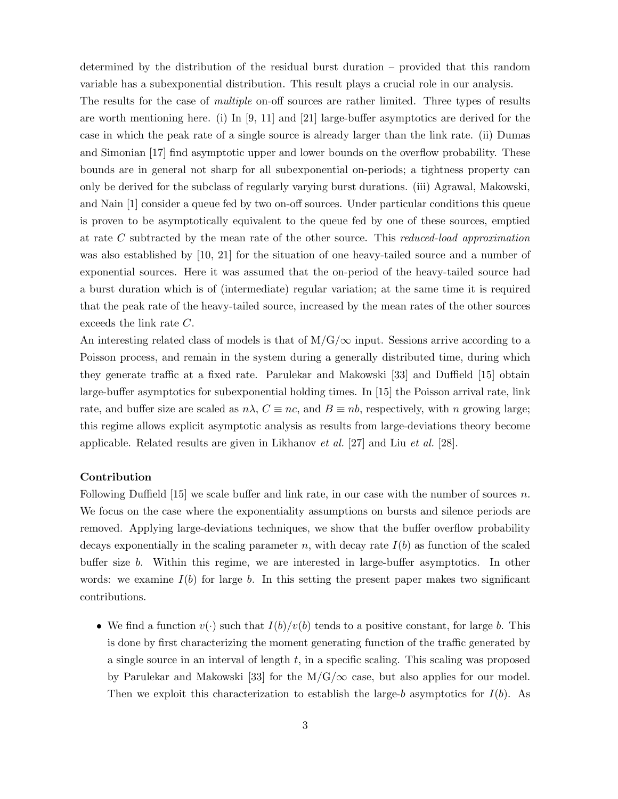determined by the distribution of the residual burst duration – provided that this random variable has a subexponential distribution. This result plays a crucial role in our analysis.

The results for the case of *multiple* on-off sources are rather limited. Three types of results are worth mentioning here. (i) In [9, 11] and [21] large-buffer asymptotics are derived for the case in which the peak rate of a single source is already larger than the link rate. (ii) Dumas and Simonian [17] find asymptotic upper and lower bounds on the overflow probability. These bounds are in general not sharp for all subexponential on-periods; a tightness property can only be derived for the subclass of regularly varying burst durations. (iii) Agrawal, Makowski, and Nain [1] consider a queue fed by two on-off sources. Under particular conditions this queue is proven to be asymptotically equivalent to the queue fed by one of these sources, emptied at rate C subtracted by the mean rate of the other source. This reduced-load approximation was also established by [10, 21] for the situation of one heavy-tailed source and a number of exponential sources. Here it was assumed that the on-period of the heavy-tailed source had a burst duration which is of (intermediate) regular variation; at the same time it is required that the peak rate of the heavy-tailed source, increased by the mean rates of the other sources exceeds the link rate C.

An interesting related class of models is that of M/G/*∞* input. Sessions arrive according to a Poisson process, and remain in the system during a generally distributed time, during which they generate traffic at a fixed rate. Parulekar and Makowski [33] and Duffield [15] obtain large-buffer asymptotics for subexponential holding times. In [15] the Poisson arrival rate, link rate, and buffer size are scaled as  $n\lambda$ ,  $C \equiv nc$ , and  $B \equiv nb$ , respectively, with n growing large; this regime allows explicit asymptotic analysis as results from large-deviations theory become applicable. Related results are given in Likhanov et al. [27] and Liu et al. [28].

# **Contribution**

Following Duffield  $[15]$  we scale buffer and link rate, in our case with the number of sources n. We focus on the case where the exponentiality assumptions on bursts and silence periods are removed. Applying large-deviations techniques, we show that the buffer overflow probability decays exponentially in the scaling parameter n, with decay rate  $I(b)$  as function of the scaled buffer size b. Within this regime, we are interested in large-buffer asymptotics. In other words: we examine  $I(b)$  for large b. In this setting the present paper makes two significant contributions.

• We find a function  $v(\cdot)$  such that  $I(b)/v(b)$  tends to a positive constant, for large b. This is done by first characterizing the moment generating function of the traffic generated by a single source in an interval of length  $t$ , in a specific scaling. This scaling was proposed by Parulekar and Makowski [33] for the  $M/G/\infty$  case, but also applies for our model. Then we exploit this characterization to establish the large-b asymptotics for  $I(b)$ . As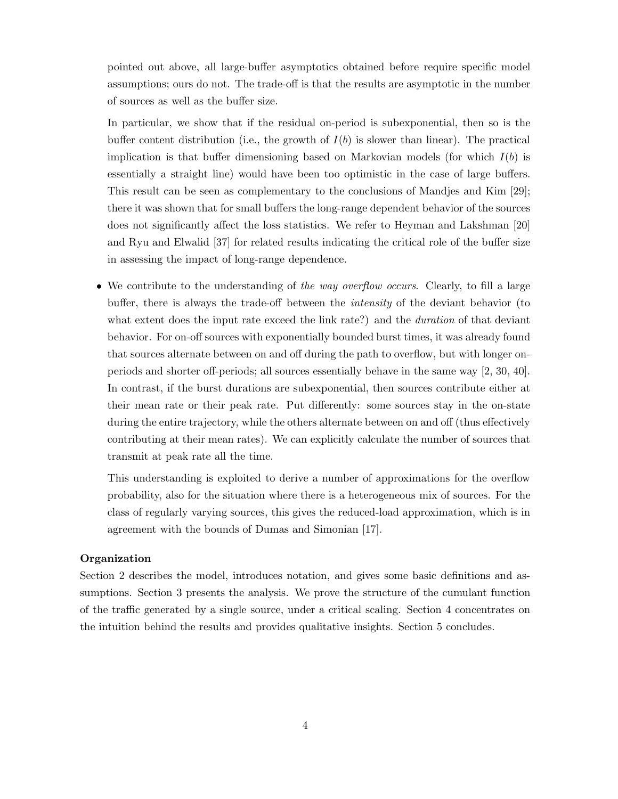pointed out above, all large-buffer asymptotics obtained before require specific model assumptions; ours do not. The trade-off is that the results are asymptotic in the number of sources as well as the buffer size.

In particular, we show that if the residual on-period is subexponential, then so is the buffer content distribution (i.e., the growth of  $I(b)$  is slower than linear). The practical implication is that buffer dimensioning based on Markovian models (for which  $I(b)$ ) is essentially a straight line) would have been too optimistic in the case of large buffers. This result can be seen as complementary to the conclusions of Mandjes and Kim [29]; there it was shown that for small buffers the long-range dependent behavior of the sources does not significantly affect the loss statistics. We refer to Heyman and Lakshman [20] and Ryu and Elwalid [37] for related results indicating the critical role of the buffer size in assessing the impact of long-range dependence.

• We contribute to the understanding of the way overflow occurs. Clearly, to fill a large buffer, there is always the trade-off between the intensity of the deviant behavior (to what extent does the input rate exceed the link rate?) and the *duration* of that deviant behavior. For on-off sources with exponentially bounded burst times, it was already found that sources alternate between on and off during the path to overflow, but with longer onperiods and shorter off-periods; all sources essentially behave in the same way [2, 30, 40]. In contrast, if the burst durations are subexponential, then sources contribute either at their mean rate or their peak rate. Put differently: some sources stay in the on-state during the entire trajectory, while the others alternate between on and off (thus effectively contributing at their mean rates). We can explicitly calculate the number of sources that transmit at peak rate all the time.

This understanding is exploited to derive a number of approximations for the overflow probability, also for the situation where there is a heterogeneous mix of sources. For the class of regularly varying sources, this gives the reduced-load approximation, which is in agreement with the bounds of Dumas and Simonian [17].

# **Organization**

Section 2 describes the model, introduces notation, and gives some basic definitions and assumptions. Section 3 presents the analysis. We prove the structure of the cumulant function of the traffic generated by a single source, under a critical scaling. Section 4 concentrates on the intuition behind the results and provides qualitative insights. Section 5 concludes.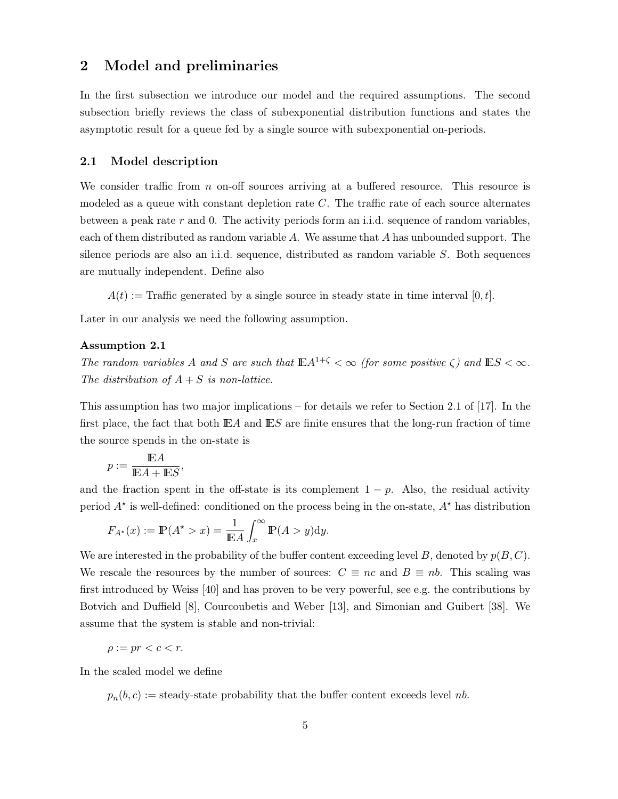# **2 Model and preliminaries**

In the first subsection we introduce our model and the required assumptions. The second subsection briefly reviews the class of subexponential distribution functions and states the asymptotic result for a queue fed by a single source with subexponential on-periods.

#### **2.1 Model description**

We consider traffic from  $n$  on-off sources arriving at a buffered resource. This resource is modeled as a queue with constant depletion rate  $C$ . The traffic rate of each source alternates between a peak rate  $r$  and 0. The activity periods form an i.i.d. sequence of random variables, each of them distributed as random variable A. We assume that A has unbounded support. The silence periods are also an i.i.d. sequence, distributed as random variable  $S$ . Both sequences are mutually independent. Define also

 $A(t) :=$  Traffic generated by a single source in steady state in time interval [0, t].

Later in our analysis we need the following assumption.

#### **Assumption 2.1**

The random variables A and S are such that  $\mathbb{E}A^{1+\zeta} < \infty$  (for some positive  $\zeta$ ) and  $\mathbb{E}S < \infty$ . The distribution of  $A + S$  is non-lattice.

This assumption has two major implications – for details we refer to Section 2.1 of [17]. In the first place, the fact that both  $E\text{ and } E\text{ is } S$  are finite ensures that the long-run fraction of time the source spends in the on-state is

$$
p := \frac{\mathbb{E} A}{\mathbb{E} A + \mathbb{E} S},
$$

and the fraction spent in the off-state is its complement  $1 - p$ . Also, the residual activity period  $A^*$  is well-defined: conditioned on the process being in the on-state,  $A^*$  has distribution

$$
F_{A^*}(x) := \mathbb{P}(A^* > x) = \frac{1}{\mathbb{E}A} \int_x^{\infty} \mathbb{P}(A > y) dy.
$$

We are interested in the probability of the buffer content exceeding level B, denoted by  $p(B, C)$ . We rescale the resources by the number of sources:  $C \equiv nc$  and  $B \equiv nb$ . This scaling was first introduced by Weiss [40] and has proven to be very powerful, see e.g. the contributions by Botvich and Duffield [8], Courcoubetis and Weber [13], and Simonian and Guibert [38]. We assume that the system is stable and non-trivial:

$$
\rho:=pr
$$

In the scaled model we define

 $p_n(b,c) :=$  steady-state probability that the buffer content exceeds level nb.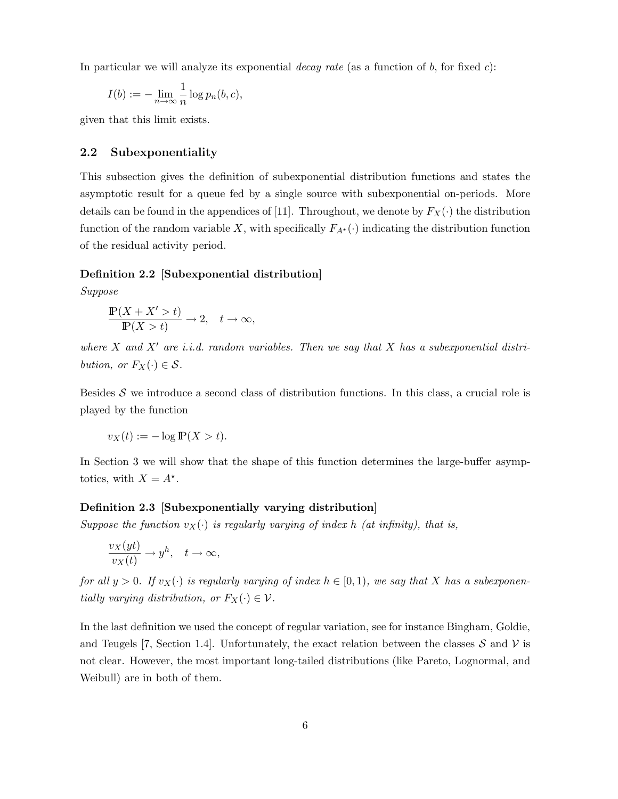In particular we will analyze its exponential *decay rate* (as a function of  $b$ , for fixed  $c$ ):

$$
I(b) := -\lim_{n \to \infty} \frac{1}{n} \log p_n(b, c),
$$

given that this limit exists.

# **2.2 Subexponentiality**

This subsection gives the definition of subexponential distribution functions and states the asymptotic result for a queue fed by a single source with subexponential on-periods. More details can be found in the appendices of [11]. Throughout, we denote by  $F_X(\cdot)$  the distribution function of the random variable X, with specifically  $F_{A^*}(\cdot)$  indicating the distribution function of the residual activity period.

#### **Definition 2.2 [Subexponential distribution]**

Suppose

$$
\frac{\mathbb{P}(X+X'>t)}{\mathbb{P}(X>t)} \to 2, \quad t \to \infty,
$$

where  $X$  and  $X'$  are i.i.d. random variables. Then we say that  $X$  has a subexponential distri*bution, or*  $F_X(\cdot) \in \mathcal{S}$ .

Besides  $S$  we introduce a second class of distribution functions. In this class, a crucial role is played by the function

$$
v_X(t) := -\log \mathbb{P}(X > t).
$$

In Section 3 we will show that the shape of this function determines the large-buffer asymptotics, with  $X = A^*$ .

#### **Definition 2.3 [Subexponentially varying distribution]**

Suppose the function  $v_X(\cdot)$  is regularly varying of index h (at infinity), that is,

$$
\frac{v_X(yt)}{v_X(t)} \to y^h, \quad t \to \infty,
$$

for all  $y > 0$ . If  $v_X(\cdot)$  is regularly varying of index  $h \in [0, 1)$ , we say that X has a subexponentially varying distribution, or  $F_X(\cdot) \in \mathcal{V}$ .

In the last definition we used the concept of regular variation, see for instance Bingham, Goldie, and Teugels [7, Section 1.4]. Unfortunately, the exact relation between the classes  $S$  and  $V$  is not clear. However, the most important long-tailed distributions (like Pareto, Lognormal, and Weibull) are in both of them.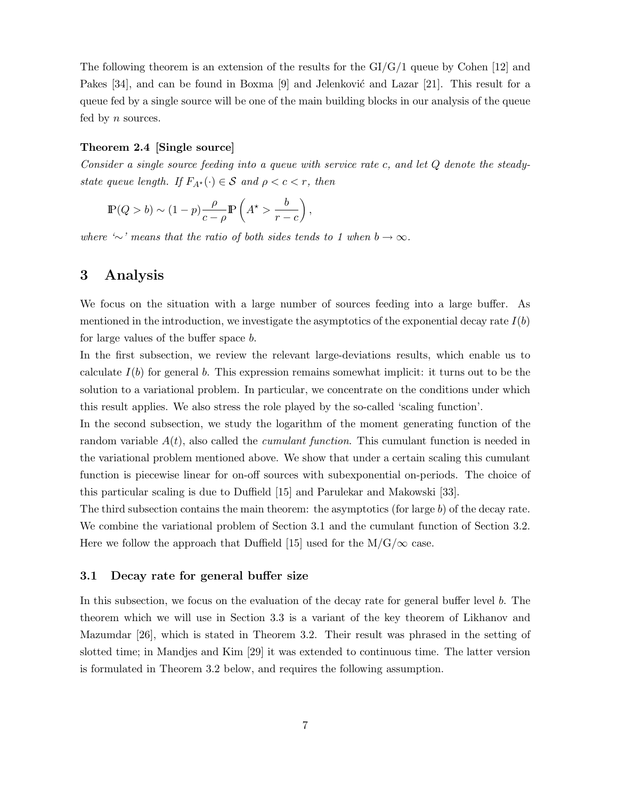The following theorem is an extension of the results for the GI/G/1 queue by Cohen [12] and Pakes  $[34]$ , and can be found in Boxma  $[9]$  and Jelenkovic and Lazar  $[21]$ . This result for a queue fed by a single source will be one of the main building blocks in our analysis of the queue fed by  $n$  sources.

# **Theorem 2.4 [Single source]**

Consider a single source feeding into a queue with service rate c, and let Q denote the steadystate queue length. If  $F_{A^*}(\cdot) \in \mathcal{S}$  and  $\rho < c < r$ , then

$$
\mathbb{P}(Q > b) \sim (1 - p) \frac{\rho}{c - \rho} \mathbb{P}\left(A^{\star} > \frac{b}{r - c}\right),\,
$$

where '*∼*' means that the ratio of both sides tends to 1 when b *→ ∞*.

# **3 Analysis**

We focus on the situation with a large number of sources feeding into a large buffer. As mentioned in the introduction, we investigate the asymptotics of the exponential decay rate  $I(b)$ for large values of the buffer space b.

In the first subsection, we review the relevant large-deviations results, which enable us to calculate  $I(b)$  for general b. This expression remains somewhat implicit: it turns out to be the solution to a variational problem. In particular, we concentrate on the conditions under which this result applies. We also stress the role played by the so-called 'scaling function'.

In the second subsection, we study the logarithm of the moment generating function of the random variable  $A(t)$ , also called the *cumulant function*. This cumulant function is needed in the variational problem mentioned above. We show that under a certain scaling this cumulant function is piecewise linear for on-off sources with subexponential on-periods. The choice of this particular scaling is due to Duffield [15] and Parulekar and Makowski [33].

The third subsection contains the main theorem: the asymptotics (for large  $b$ ) of the decay rate. We combine the variational problem of Section 3.1 and the cumulant function of Section 3.2. Here we follow the approach that Duffield [15] used for the  $M/G/\infty$  case.

# **3.1 Decay rate for general buffer size**

In this subsection, we focus on the evaluation of the decay rate for general buffer level b. The theorem which we will use in Section 3.3 is a variant of the key theorem of Likhanov and Mazumdar [26], which is stated in Theorem 3.2. Their result was phrased in the setting of slotted time; in Mandjes and Kim [29] it was extended to continuous time. The latter version is formulated in Theorem 3.2 below, and requires the following assumption.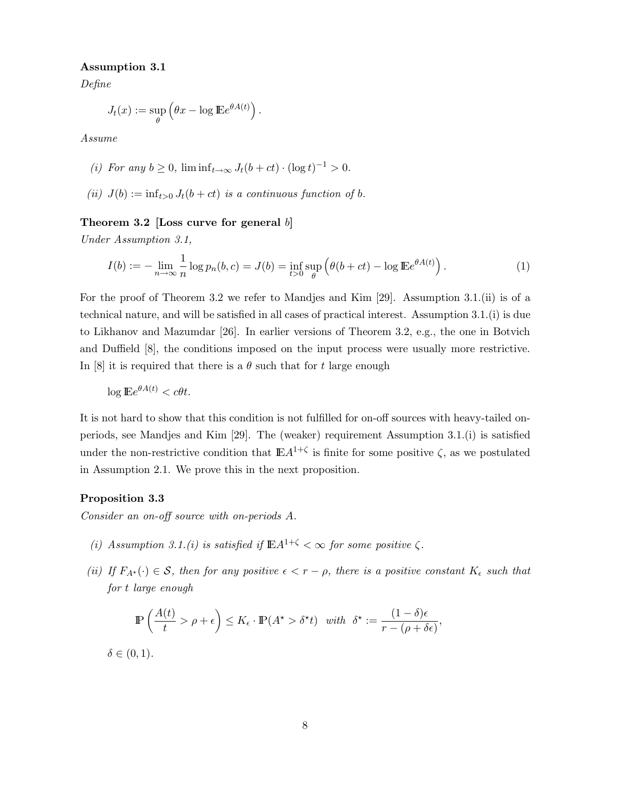### **Assumption 3.1**

Define

$$
J_t(x) := \sup_{\theta} \left( \theta x - \log \mathbb{E} e^{\theta A(t)} \right).
$$

Assume

- (i) For any  $b > 0$ ,  $\liminf_{t \to \infty} J_t(b + ct) \cdot (\log t)^{-1} > 0$ .
- (ii)  $J(b) := \inf_{t>0} J_t(b+ct)$  is a continuous function of b.

## **Theorem 3.2 [Loss curve for general** b**]**

Under Assumption 3.1,

$$
I(b) := -\lim_{n \to \infty} \frac{1}{n} \log p_n(b, c) = J(b) = \inf_{t > 0} \sup_{\theta} \left( \theta(b + ct) - \log \mathbb{E} e^{\theta A(t)} \right). \tag{1}
$$

For the proof of Theorem 3.2 we refer to Mandjes and Kim [29]. Assumption 3.1.(ii) is of a technical nature, and will be satisfied in all cases of practical interest. Assumption 3.1.(i) is due to Likhanov and Mazumdar [26]. In earlier versions of Theorem 3.2, e.g., the one in Botvich and Duffield [8], the conditions imposed on the input process were usually more restrictive. In [8] it is required that there is a  $\theta$  such that for t large enough

$$
\log \mathbb{E}e^{\theta A(t)} < c\theta t.
$$

It is not hard to show that this condition is not fulfilled for on-off sources with heavy-tailed onperiods, see Mandjes and Kim [29]. The (weaker) requirement Assumption 3.1.(i) is satisfied under the non-restrictive condition that  $\mathbb{E}A^{1+\zeta}$  is finite for some positive  $\zeta$ , as we postulated in Assumption 2.1. We prove this in the next proposition.

# **Proposition 3.3**

Consider an on-off source with on-periods A.

- (i) Assumption 3.1.(i) is satisfied if  $\mathbb{E}A^{1+\zeta} < \infty$  for some positive  $\zeta$ .
- (ii) If  $F_{A^*}(\cdot) \in \mathcal{S}$ , then for any positive  $\epsilon < r \rho$ , there is a positive constant  $K_{\epsilon}$  such that for t large enough

$$
\mathbb{P}\left(\frac{A(t)}{t} > \rho + \epsilon\right) \le K_{\epsilon} \cdot \mathbb{P}(A^{\star} > \delta^{\star}t) \quad with \quad \delta^{\star} := \frac{(1-\delta)\epsilon}{r - (\rho + \delta\epsilon)},
$$

 $\delta \in (0,1)$ .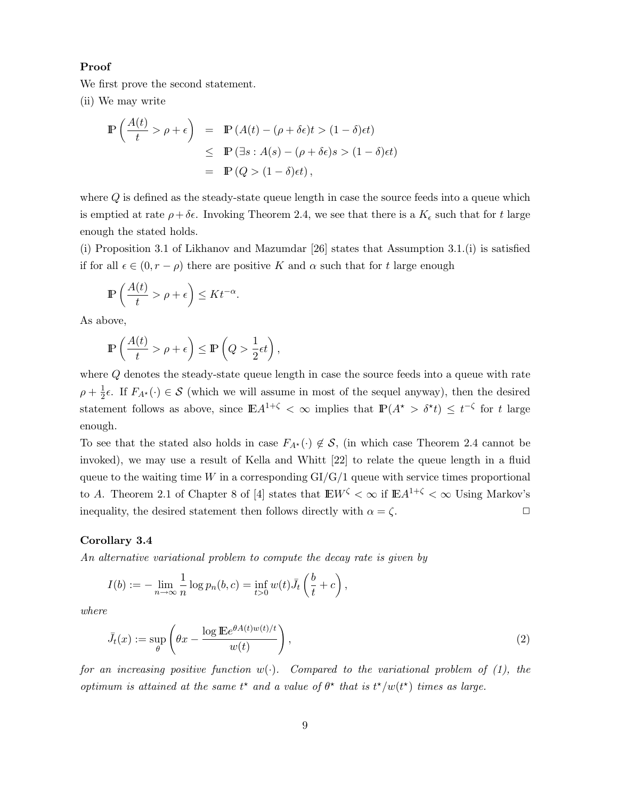#### **Proof**

We first prove the second statement.

(ii) We may write

$$
\mathbb{P}\left(\frac{A(t)}{t} > \rho + \epsilon\right) = \mathbb{P}\left(A(t) - (\rho + \delta\epsilon)t > (1 - \delta)\epsilon t\right)
$$
  
\n
$$
\leq \mathbb{P}\left(\exists s : A(s) - (\rho + \delta\epsilon)s > (1 - \delta)\epsilon t\right)
$$
  
\n
$$
= \mathbb{P}\left(Q > (1 - \delta)\epsilon t\right),
$$

where  $Q$  is defined as the steady-state queue length in case the source feeds into a queue which is emptied at rate  $\rho + \delta \epsilon$ . Invoking Theorem 2.4, we see that there is a  $K_{\epsilon}$  such that for t large enough the stated holds.

(i) Proposition 3.1 of Likhanov and Mazumdar [26] states that Assumption 3.1.(i) is satisfied if for all  $\epsilon \in (0, r - \rho)$  there are positive K and  $\alpha$  such that for t large enough

$$
\mathbb{P}\left(\frac{A(t)}{t} > \rho + \epsilon\right) \le K t^{-\alpha}.
$$

As above,

$$
\mathbb{P}\left(\frac{A(t)}{t} > \rho + \epsilon\right) \le \mathbb{P}\left(Q > \frac{1}{2}\epsilon t\right),\
$$

where Q denotes the steady-state queue length in case the source feeds into a queue with rate  $\rho + \frac{1}{2}\epsilon$ . If  $F_{A^*}(\cdot) \in \mathcal{S}$  (which we will assume in most of the sequel anyway), then the desired statement follows as above, since  $\mathbb{E} A^{1+\zeta} < \infty$  implies that  $\mathbb{P}(A^* > \delta^*t) \leq t^{-\zeta}$  for t large enough.

To see that the stated also holds in case  $F_{A^*}(\cdot) \notin \mathcal{S}$ , (in which case Theorem 2.4 cannot be invoked), we may use a result of Kella and Whitt [22] to relate the queue length in a fluid queue to the waiting time W in a corresponding  $GI/G/1$  queue with service times proportional to A. Theorem 2.1 of Chapter 8 of [4] states that  $E W^{\zeta} < \infty$  if  $E A^{1+\zeta} < \infty$  Using Markov's inequality, the desired statement then follows directly with  $\alpha = \zeta$ .

#### **Corollary 3.4**

An alternative variational problem to compute the decay rate is given by

$$
I(b) := -\lim_{n \to \infty} \frac{1}{n} \log p_n(b, c) = \inf_{t > 0} w(t) \bar{J}_t \left(\frac{b}{t} + c\right),
$$

where

$$
\bar{J}_t(x) := \sup_{\theta} \left( \theta x - \frac{\log \mathbb{E} e^{\theta A(t) w(t)/t}}{w(t)} \right),\tag{2}
$$

for an increasing positive function  $w(\cdot)$ . Compared to the variational problem of (1), the optimum is attained at the same  $t^*$  and a value of  $\theta^*$  that is  $t^*/w(t^*)$  times as large.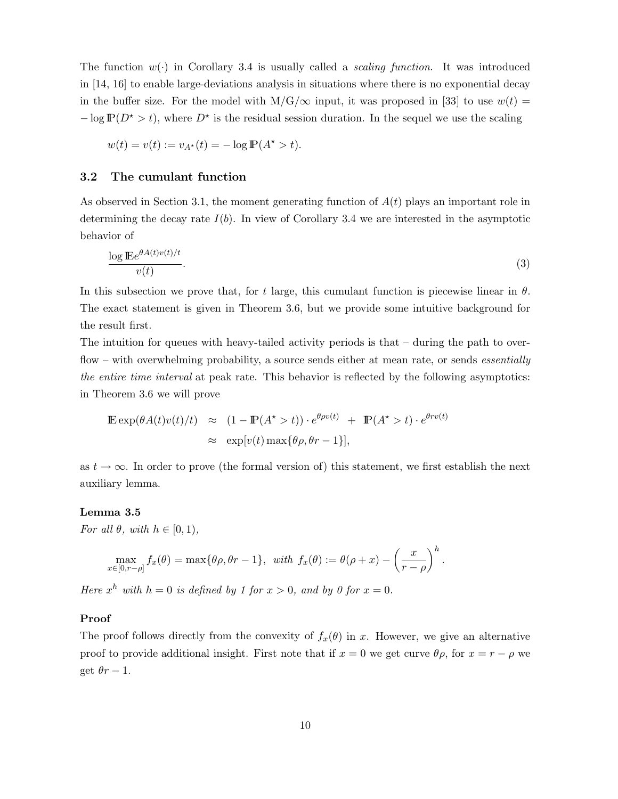The function  $w(\cdot)$  in Corollary 3.4 is usually called a *scaling function*. It was introduced in [14, 16] to enable large-deviations analysis in situations where there is no exponential decay in the buffer size. For the model with  $M/G/\infty$  input, it was proposed in [33] to use  $w(t)$  =  $-\log P(D^* > t)$ , where  $D^*$  is the residual session duration. In the sequel we use the scaling

$$
w(t) = v(t) := v_{A^*}(t) = -\log \mathbb{P}(A^* > t).
$$

# **3.2 The cumulant function**

As observed in Section 3.1, the moment generating function of  $A(t)$  plays an important role in determining the decay rate  $I(b)$ . In view of Corollary 3.4 we are interested in the asymptotic behavior of

$$
\frac{\log \mathbb{E}e^{\theta A(t)v(t)/t}}{v(t)}.\tag{3}
$$

In this subsection we prove that, for t large, this cumulant function is piecewise linear in  $\theta$ . The exact statement is given in Theorem 3.6, but we provide some intuitive background for the result first.

The intuition for queues with heavy-tailed activity periods is that  $-$  during the path to overflow – with overwhelming probability, a source sends either at mean rate, or sends *essentially* the entire time interval at peak rate. This behavior is reflected by the following asymptotics: in Theorem 3.6 we will prove

$$
\mathbb{E} \exp(\theta A(t)v(t)/t) \approx (1 - \mathbb{P}(A^* > t)) \cdot e^{\theta \rho v(t)} + \mathbb{P}(A^* > t) \cdot e^{\theta r v(t)}
$$
  
 
$$
\approx \exp[v(t) \max{\theta \rho, \theta r - 1}],
$$

as  $t \to \infty$ . In order to prove (the formal version of) this statement, we first establish the next auxiliary lemma.

#### **Lemma 3.5**

For all  $\theta$ , with  $h \in [0, 1)$ ,

$$
\max_{x \in [0,r-\rho]} f_x(\theta) = \max\{\theta\rho, \theta r - 1\}, \text{ with } f_x(\theta) := \theta(\rho + x) - \left(\frac{x}{r - \rho}\right)^h.
$$

Here  $x^h$  with  $h = 0$  is defined by 1 for  $x > 0$ , and by 0 for  $x = 0$ .

### **Proof**

The proof follows directly from the convexity of  $f_x(\theta)$  in x. However, we give an alternative proof to provide additional insight. First note that if  $x = 0$  we get curve  $\theta \rho$ , for  $x = r - \rho$  we get  $\theta r - 1$ .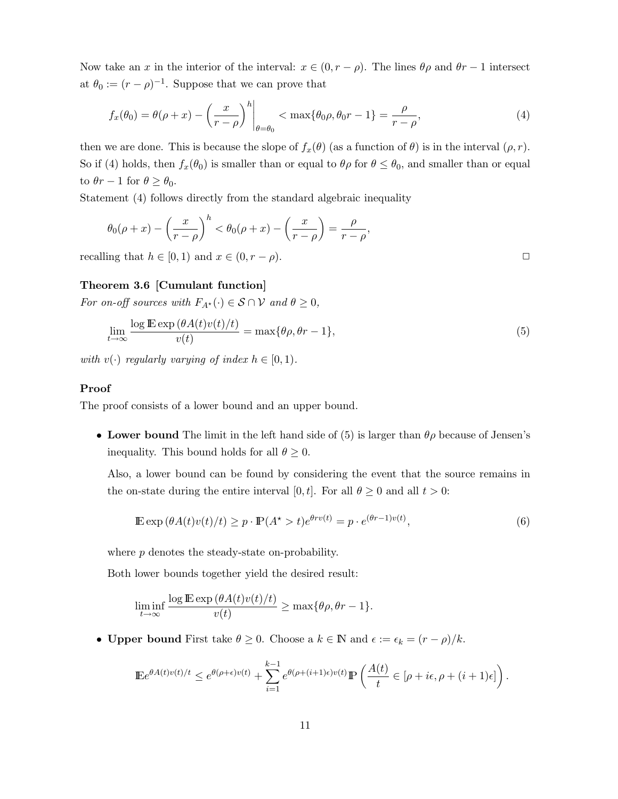Now take an x in the interior of the interval:  $x \in (0, r - \rho)$ . The lines  $\theta \rho$  and  $\theta r - 1$  intersect at  $\theta_0 := (r - \rho)^{-1}$ . Suppose that we can prove that

$$
f_x(\theta_0) = \theta(\rho + x) - \left(\frac{x}{r - \rho}\right)^h \bigg|_{\theta = \theta_0} < \max\{\theta_0 \rho, \theta_0 r - 1\} = \frac{\rho}{r - \rho},\tag{4}
$$

then we are done. This is because the slope of  $f_x(\theta)$  (as a function of  $\theta$ ) is in the interval  $(\rho, r)$ . So if (4) holds, then  $f_x(\theta_0)$  is smaller than or equal to  $\theta \rho$  for  $\theta \leq \theta_0$ , and smaller than or equal to  $\theta r - 1$  for  $\theta \ge \theta_0$ .

Statement (4) follows directly from the standard algebraic inequality

$$
\theta_0(\rho+x) - \left(\frac{x}{r-\rho}\right)^h < \theta_0(\rho+x) - \left(\frac{x}{r-\rho}\right) = \frac{\rho}{r-\rho},
$$

recalling that  $h \in [0, 1)$  and  $x \in (0, r - \rho)$ .

# **Theorem 3.6 [Cumulant function]**

For on-off sources with  $F_{A^*}(\cdot) \in \mathcal{S} \cap \mathcal{V}$  and  $\theta \geq 0$ ,

$$
\lim_{t \to \infty} \frac{\log \mathbb{E} \exp (\theta A(t) v(t)/t)}{v(t)} = \max \{ \theta \rho, \theta r - 1 \},\tag{5}
$$

with  $v(\cdot)$  regularly varying of index  $h \in [0, 1)$ .

## **Proof**

The proof consists of a lower bound and an upper bound.

• **Lower bound** The limit in the left hand side of (5) is larger than  $\theta \rho$  because of Jensen's inequality. This bound holds for all  $\theta \geq 0$ .

Also, a lower bound can be found by considering the event that the source remains in the on-state during the entire interval [0, t]. For all  $\theta \ge 0$  and all  $t > 0$ :

$$
\mathbb{E}\exp\left(\theta A(t)v(t)/t\right) \ge p \cdot \mathbb{P}(A^* > t)e^{\theta rv(t)} = p \cdot e^{(\theta r - 1)v(t)},\tag{6}
$$

where p denotes the steady-state on-probability.

Both lower bounds together yield the desired result:

$$
\liminf_{t \to \infty} \frac{\log \mathbb{E} \exp (\theta A(t) v(t)/t)}{v(t)} \ge \max\{\theta \rho, \theta r - 1\}.
$$

• **Upper bound** First take  $\theta \geq 0$ . Choose a  $k \in \mathbb{N}$  and  $\epsilon := \epsilon_k = (r - \rho)/k$ .

$$
\mathbb{E}e^{\theta A(t)v(t)/t} \leq e^{\theta(\rho+\epsilon)v(t)} + \sum_{i=1}^{k-1} e^{\theta(\rho+(i+1)\epsilon)v(t)} \mathbb{P}\left(\frac{A(t)}{t} \in [\rho+i\epsilon, \rho+(i+1)\epsilon]\right).
$$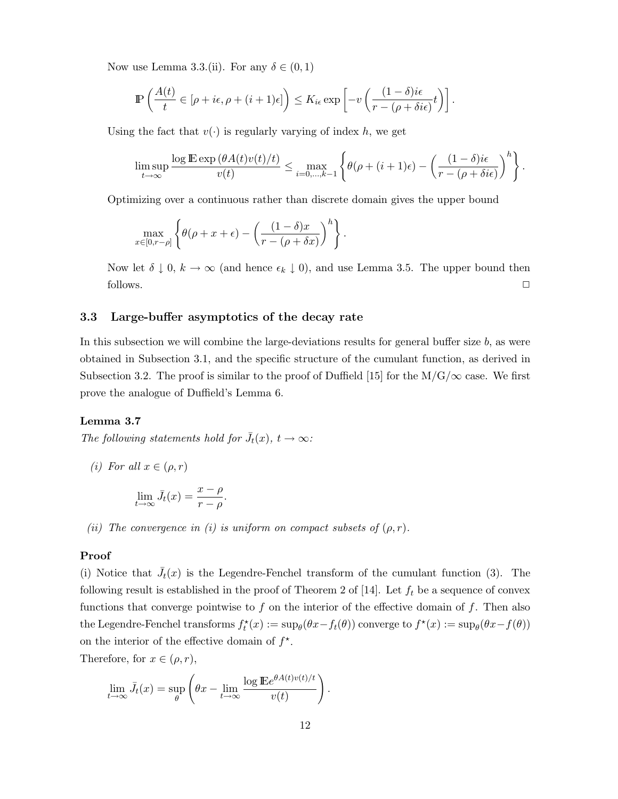Now use Lemma 3.3.(ii). For any  $\delta \in (0,1)$ 

$$
\mathbb{P}\left(\frac{A(t)}{t} \in [\rho + i\epsilon, \rho + (i+1)\epsilon]\right) \leq K_{i\epsilon} \exp\left[-v\left(\frac{(1-\delta)i\epsilon}{r-(\rho+\delta i\epsilon)}t\right)\right].
$$

Using the fact that  $v(\cdot)$  is regularly varying of index h, we get

$$
\limsup_{t\to\infty}\frac{\log\mathbb{E}\exp\left(\theta A(t)v(t)/t\right)}{v(t)}\leq \max_{i=0,\dots,k-1}\left\{\theta(\rho+(i+1)\epsilon)-\left(\frac{(1-\delta)i\epsilon}{r-(\rho+\delta i\epsilon)}\right)^h\right\}.
$$

Optimizing over a continuous rather than discrete domain gives the upper bound

$$
\max_{x \in [0,r-\rho]} \left\{ \theta(\rho + x + \epsilon) - \left( \frac{(1-\delta)x}{r - (\rho + \delta x)} \right)^h \right\}.
$$

Now let  $\delta \downarrow 0$ ,  $k \to \infty$  (and hence  $\epsilon_k \downarrow 0$ ), and use Lemma 3.5. The upper bound then follows.  $\Box$ 

### **3.3 Large-buffer asymptotics of the decay rate**

In this subsection we will combine the large-deviations results for general buffer size  $b$ , as were obtained in Subsection 3.1, and the specific structure of the cumulant function, as derived in Subsection 3.2. The proof is similar to the proof of Duffield [15] for the  $M/G/\infty$  case. We first prove the analogue of Duffield's Lemma 6.

## **Lemma 3.7**

The following statements hold for  $\bar{J}_t(x)$ ,  $t \to \infty$ :

(*i*) For all  $x \in (\rho, r)$ 

$$
\lim_{t \to \infty} \bar{J}_t(x) = \frac{x - \rho}{r - \rho}.
$$

(ii) The convergence in (i) is uniform on compact subsets of  $(\rho, r)$ .

#### **Proof**

(i) Notice that  $\bar{J}_t(x)$  is the Legendre-Fenchel transform of the cumulant function (3). The following result is established in the proof of Theorem 2 of [14]. Let  $f_t$  be a sequence of convex functions that converge pointwise to  $f$  on the interior of the effective domain of  $f$ . Then also the Legendre-Fenchel transforms  $f_t^*(x) := \sup_{\theta} (\theta x - f_t(\theta))$  converge to  $f^*(x) := \sup_{\theta} (\theta x - f(\theta))$ on the interior of the effective domain of  $f^*$ .

Therefore, for  $x \in (\rho, r)$ ,

$$
\lim_{t \to \infty} \bar{J}_t(x) = \sup_{\theta} \left( \theta x - \lim_{t \to \infty} \frac{\log \mathbb{E} e^{\theta A(t)v(t)/t}}{v(t)} \right).
$$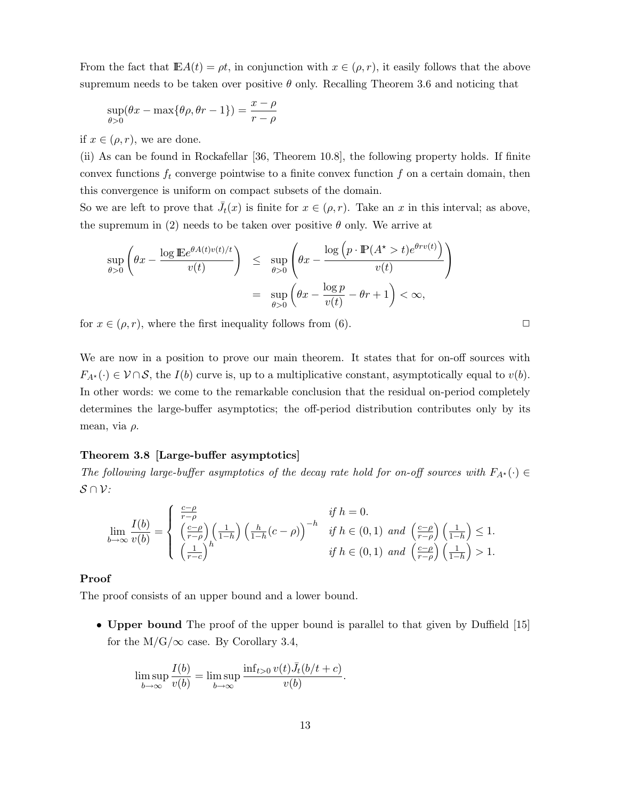From the fact that  $\mathbb{E}A(t) = \rho t$ , in conjunction with  $x \in (\rho, r)$ , it easily follows that the above supremum needs to be taken over positive  $\theta$  only. Recalling Theorem 3.6 and noticing that

$$
\sup_{\theta>0} (\theta x - \max{\theta \rho, \theta r - 1}) = \frac{x - \rho}{r - \rho}
$$

if  $x \in (\rho, r)$ , we are done.

(ii) As can be found in Rockafellar [36, Theorem 10.8], the following property holds. If finite convex functions  $f_t$  converge pointwise to a finite convex function  $f$  on a certain domain, then this convergence is uniform on compact subsets of the domain.

So we are left to prove that  $\bar{J}_t(x)$  is finite for  $x \in (\rho, r)$ . Take an x in this interval; as above, the supremum in (2) needs to be taken over positive  $\theta$  only. We arrive at

$$
\sup_{\theta>0} \left( \theta x - \frac{\log \mathbb{E} e^{\theta A(t)v(t)/t}}{v(t)} \right) \leq \sup_{\theta>0} \left( \theta x - \frac{\log \left( p \cdot \mathbb{P}(A^* > t) e^{\theta r v(t)} \right)}{v(t)} \right)
$$

$$
= \sup_{\theta>0} \left( \theta x - \frac{\log p}{v(t)} - \theta r + 1 \right) < \infty,
$$

for  $x \in (\rho, r)$ , where the first inequality follows from (6).

We are now in a position to prove our main theorem. It states that for on-off sources with  $F_{A^*}(\cdot) \in \mathcal{V} \cap \mathcal{S}$ , the  $I(b)$  curve is, up to a multiplicative constant, asymptotically equal to  $v(b)$ . In other words: we come to the remarkable conclusion that the residual on-period completely determines the large-buffer asymptotics; the off-period distribution contributes only by its mean, via  $\rho$ .

# **Theorem 3.8 [Large-buffer asymptotics]**

The following large-buffer asymptotics of the decay rate hold for on-off sources with  $F_{A^*}(\cdot) \in$ *S∩V*:

$$
\lim_{b \to \infty} \frac{I(b)}{v(b)} = \begin{cases} \frac{c-\rho}{r-\rho} & \text{if } h = 0. \\ \left(\frac{c-\rho}{r-\rho}\right) \left(\frac{1}{1-h}\right) \left(\frac{h}{1-h}(c-\rho)\right)^{-h} & \text{if } h \in (0,1) \text{ and } \left(\frac{c-\rho}{r-\rho}\right) \left(\frac{1}{1-h}\right) \le 1. \\ \left(\frac{1}{r-c}\right)^h & \text{if } h \in (0,1) \text{ and } \left(\frac{c-\rho}{r-\rho}\right) \left(\frac{1}{1-h}\right) > 1. \end{cases}
$$

#### **Proof**

The proof consists of an upper bound and a lower bound.

• **Upper bound** The proof of the upper bound is parallel to that given by Duffield [15] for the  $M/G/\infty$  case. By Corollary 3.4,

$$
\limsup_{b \to \infty} \frac{I(b)}{v(b)} = \limsup_{b \to \infty} \frac{\inf_{t > 0} v(t) \bar{J}_t(b/t + c)}{v(b)}.
$$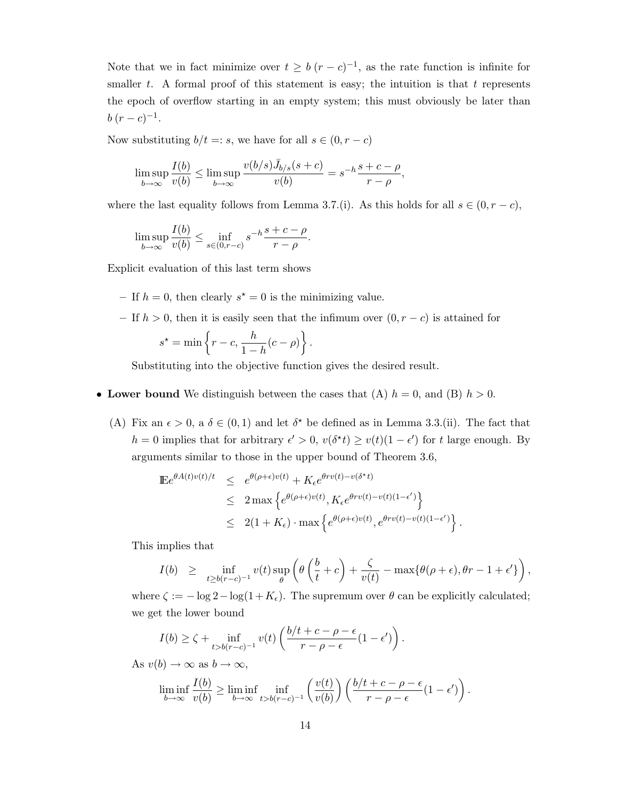Note that we in fact minimize over  $t \geq b$  ( $r - c$ )<sup>-1</sup>, as the rate function is infinite for smaller  $t$ . A formal proof of this statement is easy; the intuition is that  $t$  represents the epoch of overflow starting in an empty system; this must obviously be later than  $b(r-c)^{-1}$ .

Now substituting  $b/t =: s$ , we have for all  $s \in (0, r - c)$ 

$$
\limsup_{b \to \infty} \frac{I(b)}{v(b)} \le \limsup_{b \to \infty} \frac{v(b/s)\bar{J}_{b/s}(s+c)}{v(b)} = s^{-h} \frac{s+c-\rho}{r-\rho},
$$

where the last equality follows from Lemma 3.7.(i). As this holds for all  $s \in (0, r - c)$ ,

$$
\limsup_{b \to \infty} \frac{I(b)}{v(b)} \le \inf_{s \in (0,r-c)} s^{-h} \frac{s+c-\rho}{r-\rho}.
$$

Explicit evaluation of this last term shows

- If  $h = 0$ , then clearly  $s^* = 0$  is the minimizing value.
- **–** If h > 0, then it is easily seen that the infimum over (0,r *−* c) is attained for h

$$
s^* = \min\left\{r - c, \frac{h}{1 - h}(c - \rho)\right\}.
$$

Substituting into the objective function gives the desired result.

# • Lower bound We distinguish between the cases that (A)  $h = 0$ , and (B)  $h > 0$ .

(A) Fix an  $\epsilon > 0$ , a  $\delta \in (0, 1)$  and let  $\delta^*$  be defined as in Lemma 3.3.(ii). The fact that h = 0 implies that for arbitrary  $\epsilon' > 0$ ,  $v(\delta^*t) \ge v(t)(1 - \epsilon')$  for t large enough. By arguments similar to those in the upper bound of Theorem 3.6,

$$
\begin{array}{rcl}\n\mathbb{E}e^{\theta A(t)v(t)/t} & \leq & e^{\theta(\rho+\epsilon)v(t)} + K_{\epsilon}e^{\theta rv(t)-v(\delta^*t)} \\
& \leq & 2\max\left\{e^{\theta(\rho+\epsilon)v(t)}, K_{\epsilon}e^{\theta rv(t)-v(t)(1-\epsilon')}\right\} \\
& \leq & 2(1+K_{\epsilon})\cdot\max\left\{e^{\theta(\rho+\epsilon)v(t)}, e^{\theta rv(t)-v(t)(1-\epsilon')}\right\}.\n\end{array}
$$

This implies that

$$
I(b) \geq \inf_{t \geq b(r-c)^{-1}} v(t) \sup_{\theta} \left( \theta \left( \frac{b}{t} + c \right) + \frac{\zeta}{v(t)} - \max \{ \theta(\rho + \epsilon), \theta r - 1 + \epsilon' \} \right),
$$

where  $\zeta := -\log 2 - \log(1 + K_{\epsilon})$ . The supremum over  $\theta$  can be explicitly calculated; we get the lower bound

$$
I(b) \ge \zeta + \inf_{t > b(r-c)^{-1}} v(t) \left( \frac{b/t + c - \rho - \epsilon}{r - \rho - \epsilon} (1 - \epsilon') \right).
$$

As  $v(b) \rightarrow \infty$  as  $b \rightarrow \infty$ ,

$$
\liminf_{b \to \infty} \frac{I(b)}{v(b)} \ge \liminf_{b \to \infty} \inf_{t > b(r-c)^{-1}} \left( \frac{v(t)}{v(b)} \right) \left( \frac{b/t + c - \rho - \epsilon}{r - \rho - \epsilon} (1 - \epsilon') \right).
$$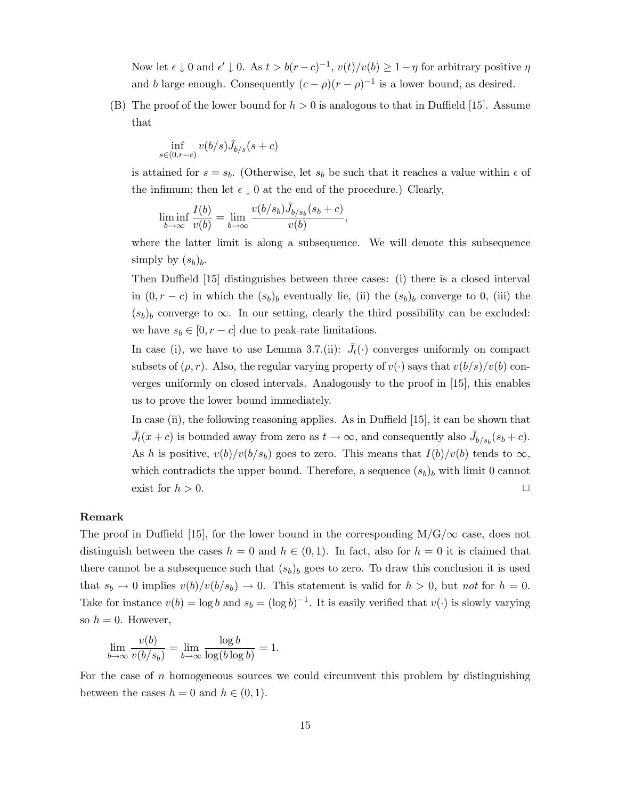Now let  $\epsilon \downarrow 0$  and  $\epsilon' \downarrow 0$ . As  $t > b(r - c)^{-1}$ ,  $v(t)/v(b) \geq 1 - \eta$  for arbitrary positive  $\eta$ and b large enough. Consequently  $(c - \rho)(r - \rho)^{-1}$  is a lower bound, as desired.

(B) The proof of the lower bound for  $h > 0$  is analogous to that in Duffield [15]. Assume that

$$
\inf_{s\in(0,r-c)}v(b/s)\bar{J}_{b/s}(s+c)
$$

is attained for  $s = s_b$ . (Otherwise, let  $s_b$  be such that it reaches a value within  $\epsilon$  of the infimum; then let  $\epsilon \downarrow 0$  at the end of the procedure.) Clearly,

$$
\liminf_{b \to \infty} \frac{I(b)}{v(b)} = \lim_{b \to \infty} \frac{v(b/s_b)\bar{J}_{b/s_b}(s_b+c)}{v(b)},
$$

where the latter limit is along a subsequence. We will denote this subsequence simply by  $(s_b)_b$ .

Then Duffield [15] distinguishes between three cases: (i) there is a closed interval in  $(0, r - c)$  in which the  $(s_b)_b$  eventually lie, (ii) the  $(s_b)_b$  converge to 0, (iii) the  $(s_b)_b$  converge to  $\infty$ . In our setting, clearly the third possibility can be excluded: we have  $s_b \in [0, r - c]$  due to peak-rate limitations.

In case (i), we have to use Lemma 3.7.(ii):  $\bar{J}_t(\cdot)$  converges uniformly on compact subsets of  $(\rho, r)$ . Also, the regular varying property of  $v(\cdot)$  says that  $v(b/s)/v(b)$  converges uniformly on closed intervals. Analogously to the proof in [15], this enables us to prove the lower bound immediately.

In case (ii), the following reasoning applies. As in Duffield [15], it can be shown that  $\bar{J}_t(x+c)$  is bounded away from zero as  $t \to \infty$ , and consequently also  $\bar{J}_{b/s_b}(s_b+c)$ . As h is positive,  $v(b)/v(b/s_b)$  goes to zero. This means that  $I(b)/v(b)$  tends to  $\infty$ , which contradicts the upper bound. Therefore, a sequence  $(s_b)_b$  with limit 0 cannot exist for  $h > 0$ .

### **Remark**

The proof in Duffield [15], for the lower bound in the corresponding  $M/G/\infty$  case, does not distinguish between the cases  $h = 0$  and  $h \in (0, 1)$ . In fact, also for  $h = 0$  it is claimed that there cannot be a subsequence such that  $(s_b)_b$  goes to zero. To draw this conclusion it is used that  $s_b \to 0$  implies  $v(b)/v(b/s_b) \to 0$ . This statement is valid for  $h > 0$ , but not for  $h = 0$ . Take for instance  $v(b) = \log b$  and  $s_b = (\log b)^{-1}$ . It is easily verified that  $v(\cdot)$  is slowly varying so  $h = 0$ . However,

$$
\lim_{b \to \infty} \frac{v(b)}{v(b/s_b)} = \lim_{b \to \infty} \frac{\log b}{\log(b \log b)} = 1.
$$

For the case of  $n$  homogeneous sources we could circumvent this problem by distinguishing between the cases  $h = 0$  and  $h \in (0, 1)$ .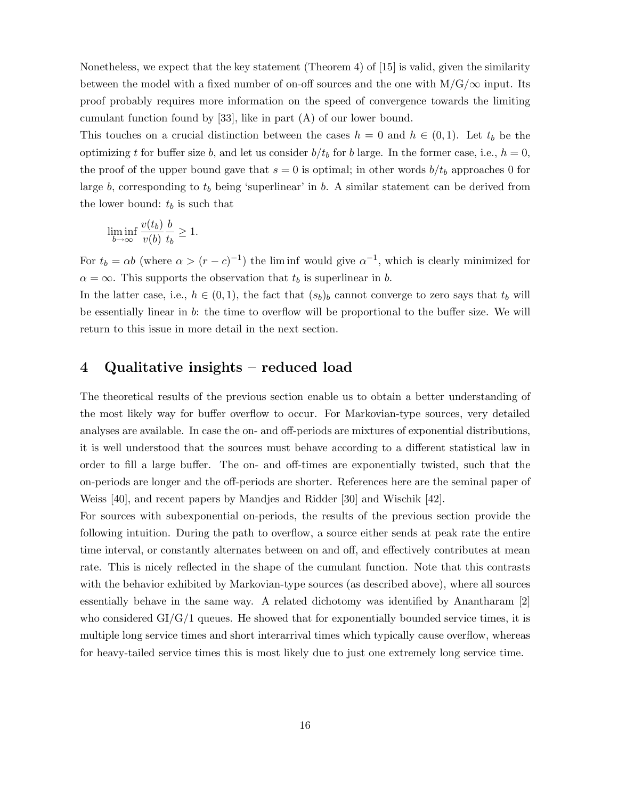Nonetheless, we expect that the key statement (Theorem 4) of [15] is valid, given the similarity between the model with a fixed number of on-off sources and the one with  $M/G/\infty$  input. Its proof probably requires more information on the speed of convergence towards the limiting cumulant function found by [33], like in part (A) of our lower bound.

This touches on a crucial distinction between the cases  $h = 0$  and  $h \in (0, 1)$ . Let  $t_b$  be the optimizing t for buffer size b, and let us consider  $b/t_b$  for b large. In the former case, i.e.,  $h = 0$ , the proof of the upper bound gave that  $s = 0$  is optimal; in other words  $b/t_b$  approaches 0 for large b, corresponding to  $t_b$  being 'superlinear' in b. A similar statement can be derived from the lower bound:  $t_b$  is such that

$$
\liminf_{b \to \infty} \frac{v(t_b)}{v(b)} \frac{b}{t_b} \ge 1.
$$

For  $t_b = \alpha b$  (where  $\alpha > (r - c)^{-1}$ ) the liminf would give  $\alpha^{-1}$ , which is clearly minimized for  $\alpha = \infty$ . This supports the observation that  $t_b$  is superlinear in b.

In the latter case, i.e.,  $h \in (0,1)$ , the fact that  $(s_b)_b$  cannot converge to zero says that  $t_b$  will be essentially linear in b: the time to overflow will be proportional to the buffer size. We will return to this issue in more detail in the next section.

# **4 Qualitative insights – reduced load**

The theoretical results of the previous section enable us to obtain a better understanding of the most likely way for buffer overflow to occur. For Markovian-type sources, very detailed analyses are available. In case the on- and off-periods are mixtures of exponential distributions, it is well understood that the sources must behave according to a different statistical law in order to fill a large buffer. The on- and off-times are exponentially twisted, such that the on-periods are longer and the off-periods are shorter. References here are the seminal paper of Weiss [40], and recent papers by Mandjes and Ridder [30] and Wischik [42].

For sources with subexponential on-periods, the results of the previous section provide the following intuition. During the path to overflow, a source either sends at peak rate the entire time interval, or constantly alternates between on and off, and effectively contributes at mean rate. This is nicely reflected in the shape of the cumulant function. Note that this contrasts with the behavior exhibited by Markovian-type sources (as described above), where all sources essentially behave in the same way. A related dichotomy was identified by Anantharam [2] who considered  $GI/G/1$  queues. He showed that for exponentially bounded service times, it is multiple long service times and short interarrival times which typically cause overflow, whereas for heavy-tailed service times this is most likely due to just one extremely long service time.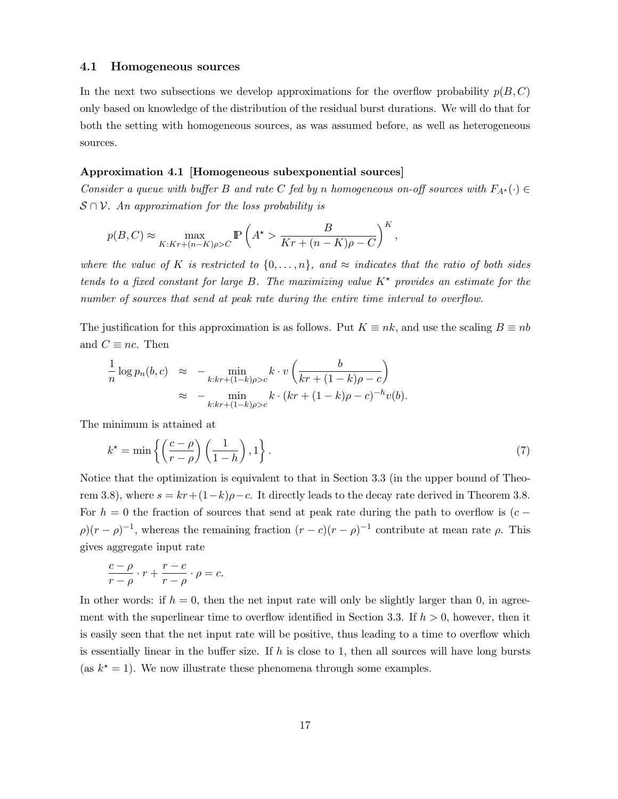#### **4.1 Homogeneous sources**

In the next two subsections we develop approximations for the overflow probability  $p(B, C)$ only based on knowledge of the distribution of the residual burst durations. We will do that for both the setting with homogeneous sources, as was assumed before, as well as heterogeneous sources.

# **Approximation 4.1 [Homogeneous subexponential sources]**

Consider a queue with buffer B and rate C fed by n homogeneous on-off sources with  $F_{A^*}(\cdot) \in$ *S∩V*. An approximation for the loss probability is

$$
p(B, C) \approx \max_{K:Kr + (n-K)\rho > C} \mathbb{P}\left(A^* > \frac{B}{Kr + (n-K)\rho - C}\right)^K,
$$

where the value of K is restricted to  $\{0,\ldots,n\}$ , and  $\approx$  indicates that the ratio of both sides tends to a fixed constant for large B. The maximizing value  $K^*$  provides an estimate for the number of sources that send at peak rate during the entire time interval to overflow.

The justification for this approximation is as follows. Put  $K \equiv nk$ , and use the scaling  $B \equiv nb$ and  $C \equiv nc$ . Then

$$
\frac{1}{n}\log p_n(b,c) \approx -\min_{k:kr+(1-k)\rho>c} k \cdot v\left(\frac{b}{kr+(1-k)\rho-c}\right)
$$
  

$$
\approx -\min_{k:kr+(1-k)\rho>c} k \cdot (kr+(1-k)\rho-c)^{-h}v(b).
$$

The minimum is attained at

$$
k^* = \min\left\{ \left(\frac{c-\rho}{r-\rho}\right) \left(\frac{1}{1-h}\right), 1 \right\}.
$$
 (7)

Notice that the optimization is equivalent to that in Section 3.3 (in the upper bound of Theorem 3.8), where  $s = kr + (1-k)\rho - c$ . It directly leads to the decay rate derived in Theorem 3.8. For  $h = 0$  the fraction of sources that send at peak rate during the path to overflow is  $(c \rho$ ) $(r - \rho)^{-1}$ , whereas the remaining fraction  $(r - c)(r - \rho)^{-1}$  contribute at mean rate  $\rho$ . This gives aggregate input rate

$$
\frac{c-\rho}{r-\rho}\cdot r+\frac{r-c}{r-\rho}\cdot\rho=c.
$$

In other words: if  $h = 0$ , then the net input rate will only be slightly larger than 0, in agreement with the superlinear time to overflow identified in Section 3.3. If  $h > 0$ , however, then it is easily seen that the net input rate will be positive, thus leading to a time to overflow which is essentially linear in the buffer size. If h is close to 1, then all sources will have long bursts (as  $k^* = 1$ ). We now illustrate these phenomena through some examples.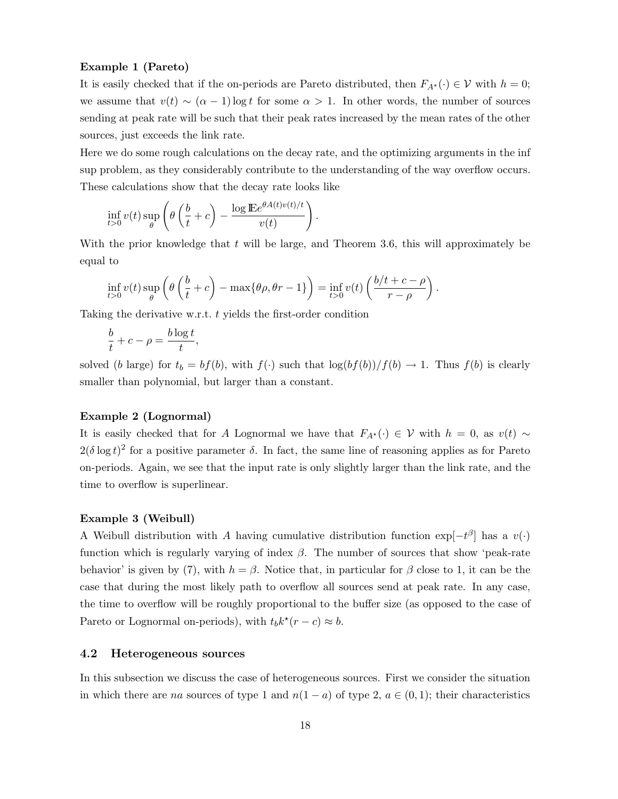#### **Example 1 (Pareto)**

It is easily checked that if the on-periods are Pareto distributed, then  $F_{A^*}(\cdot) \in \mathcal{V}$  with  $h = 0$ ; we assume that  $v(t) \sim (\alpha - 1) \log t$  for some  $\alpha > 1$ . In other words, the number of sources sending at peak rate will be such that their peak rates increased by the mean rates of the other sources, just exceeds the link rate.

Here we do some rough calculations on the decay rate, and the optimizing arguments in the inf sup problem, as they considerably contribute to the understanding of the way overflow occurs. These calculations show that the decay rate looks like

$$
\inf_{t>0} v(t) \sup_{\theta} \left( \theta \left( \frac{b}{t} + c \right) - \frac{\log \mathbb{E} e^{\theta A(t) v(t)/t}}{v(t)} \right).
$$

With the prior knowledge that  $t$  will be large, and Theorem 3.6, this will approximately be equal to

$$
\inf_{t>0} v(t) \sup_{\theta} \left( \theta \left( \frac{b}{t} + c \right) - \max \{ \theta \rho, \theta r - 1 \} \right) = \inf_{t>0} v(t) \left( \frac{b/t + c - \rho}{r - \rho} \right).
$$

Taking the derivative w.r.t. t yields the first-order condition

$$
\frac{b}{t} + c - \rho = \frac{b \log t}{t},
$$

solved (b large) for  $t_b = bf(b)$ , with  $f(\cdot)$  such that  $\log(bf(b))/f(b) \to 1$ . Thus  $f(b)$  is clearly smaller than polynomial, but larger than a constant.

# **Example 2 (Lognormal)**

It is easily checked that for A Lognormal we have that  $F_{A^*}(\cdot) \in \mathcal{V}$  with  $h = 0$ , as  $v(t) \sim$  $2(\delta \log t)^2$  for a positive parameter  $\delta$ . In fact, the same line of reasoning applies as for Pareto on-periods. Again, we see that the input rate is only slightly larger than the link rate, and the time to overflow is superlinear.

#### **Example 3 (Weibull)**

A Weibull distribution with A having cumulative distribution function  $\exp[-t^{\beta}]$  has a v(·) function which is regularly varying of index  $\beta$ . The number of sources that show 'peak-rate behavior' is given by (7), with  $h = \beta$ . Notice that, in particular for  $\beta$  close to 1, it can be the case that during the most likely path to overflow all sources send at peak rate. In any case, the time to overflow will be roughly proportional to the buffer size (as opposed to the case of Pareto or Lognormal on-periods), with  $t_b k^*(r - c) \approx b$ .

### **4.2 Heterogeneous sources**

In this subsection we discuss the case of heterogeneous sources. First we consider the situation in which there are na sources of type 1 and  $n(1 - a)$  of type 2,  $a \in (0, 1)$ ; their characteristics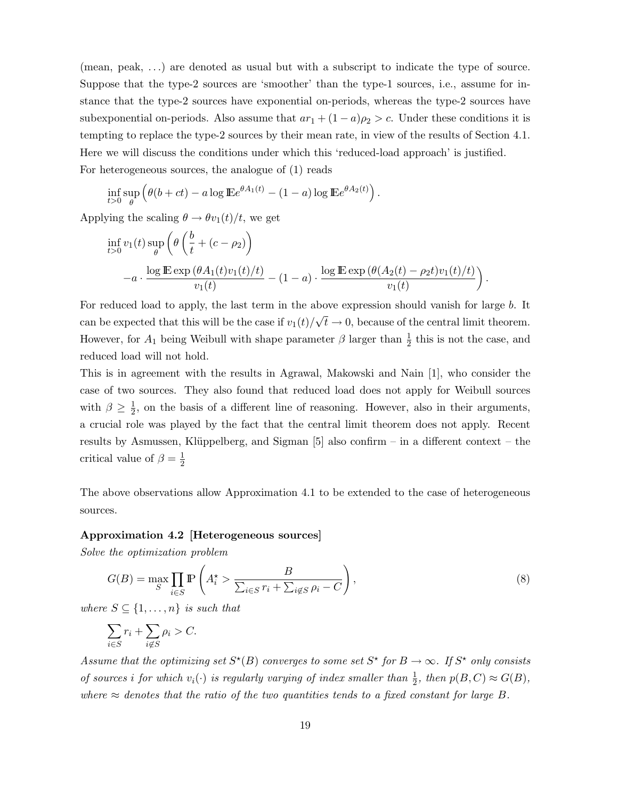(mean, peak, ...) are denoted as usual but with a subscript to indicate the type of source. Suppose that the type-2 sources are 'smoother' than the type-1 sources, i.e., assume for instance that the type-2 sources have exponential on-periods, whereas the type-2 sources have subexponential on-periods. Also assume that  $ar_1 + (1 - a)\rho_2 > c$ . Under these conditions it is tempting to replace the type-2 sources by their mean rate, in view of the results of Section 4.1. Here we will discuss the conditions under which this 'reduced-load approach' is justified. For heterogeneous sources, the analogue of (1) reads

.

$$
\inf_{t>0} \sup_{\theta} \left( \theta(b+ct) - a \log \mathbb{E} e^{\theta A_1(t)} - (1-a) \log \mathbb{E} e^{\theta A_2(t)} \right)
$$

Applying the scaling  $\theta \rightarrow \theta v_1(t)/t$ , we get

$$
\inf_{t>0} v_1(t) \sup_{\theta} \left( \theta \left( \frac{b}{t} + (c - \rho_2) \right) -a \cdot \frac{\log \mathbb{E} \exp \left( \theta A_1(t) v_1(t)/t \right)}{v_1(t)} - (1 - a) \cdot \frac{\log \mathbb{E} \exp \left( \theta (A_2(t) - \rho_2 t) v_1(t)/t \right)}{v_1(t)} \right).
$$

For reduced load to apply, the last term in the above expression should vanish for large b. It can be expected that this will be the case if  $v_1(t)/\sqrt{t} \to 0$ , because of the central limit theorem. However, for  $A_1$  being Weibull with shape parameter  $\beta$  larger than  $\frac{1}{2}$  this is not the case, and reduced load will not hold.

This is in agreement with the results in Agrawal, Makowski and Nain [1], who consider the case of two sources. They also found that reduced load does not apply for Weibull sources with  $\beta \geq \frac{1}{2}$ , on the basis of a different line of reasoning. However, also in their arguments, a crucial role was played by the fact that the central limit theorem does not apply. Recent results by Asmussen, Klüppelberg, and Sigman [5] also confirm – in a different context – the critical value of  $\beta = \frac{1}{2}$ 

The above observations allow Approximation 4.1 to be extended to the case of heterogeneous sources.

#### **Approximation 4.2 [Heterogeneous sources]**

Solve the optimization problem

$$
G(B) = \max_{S} \prod_{i \in S} \mathbb{P}\left(A_i^* > \frac{B}{\sum_{i \in S} r_i + \sum_{i \notin S} \rho_i - C}\right),\tag{8}
$$

where  $S \subseteq \{1, \ldots, n\}$  is such that

$$
\sum_{i \in S} r_i + \sum_{i \notin S} \rho_i > C.
$$

Assume that the optimizing set  $S^*(B)$  converges to some set  $S^*$  for  $B \to \infty$ . If  $S^*$  only consists of sources i for which  $v_i(\cdot)$  is regularly varying of index smaller than  $\frac{1}{2}$ , then  $p(B, C) \approx G(B)$ , where  $\approx$  denotes that the ratio of the two quantities tends to a fixed constant for large B.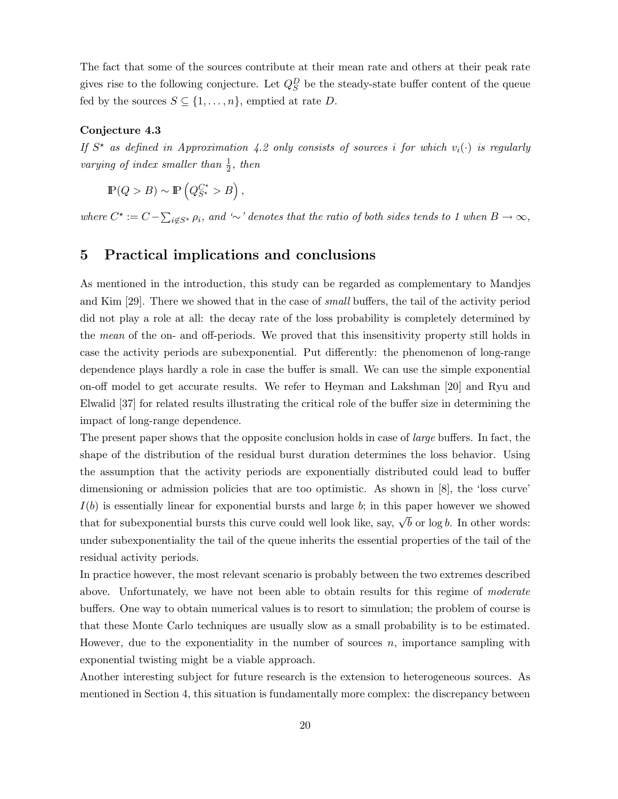The fact that some of the sources contribute at their mean rate and others at their peak rate gives rise to the following conjecture. Let  $Q_S^D$  be the steady-state buffer content of the queue fed by the sources  $S \subseteq \{1, \ldots, n\}$ , emptied at rate D.

#### **Conjecture 4.3**

If  $S^*$  as defined in Approximation 4.2 only consists of sources i for which  $v_i(\cdot)$  is regularly varying of index smaller than  $\frac{1}{2}$ , then

$$
\mathbb{P}(Q > B) \sim \mathbb{P}\left(Q_{S^{\star}}^{C^{\star}} > B\right),\
$$

where  $C^* := C - \sum_{i \notin S^*} \rho_i$ , and '*∼*' denotes that the ratio of both sides tends to 1 when  $B \to \infty$ ,

# **5 Practical implications and conclusions**

As mentioned in the introduction, this study can be regarded as complementary to Mandjes and Kim [29]. There we showed that in the case of small buffers, the tail of the activity period did not play a role at all: the decay rate of the loss probability is completely determined by the mean of the on- and off-periods. We proved that this insensitivity property still holds in case the activity periods are subexponential. Put differently: the phenomenon of long-range dependence plays hardly a role in case the buffer is small. We can use the simple exponential on-off model to get accurate results. We refer to Heyman and Lakshman [20] and Ryu and Elwalid [37] for related results illustrating the critical role of the buffer size in determining the impact of long-range dependence.

The present paper shows that the opposite conclusion holds in case of *large* buffers. In fact, the shape of the distribution of the residual burst duration determines the loss behavior. Using the assumption that the activity periods are exponentially distributed could lead to buffer dimensioning or admission policies that are too optimistic. As shown in [8], the 'loss curve'  $I(b)$  is essentially linear for exponential bursts and large b; in this paper however we showed that for subexponential bursts this curve could well look like, say,  $\sqrt{b}$  or log b. In other words: under subexponentiality the tail of the queue inherits the essential properties of the tail of the residual activity periods.

In practice however, the most relevant scenario is probably between the two extremes described above. Unfortunately, we have not been able to obtain results for this regime of *moderate* buffers. One way to obtain numerical values is to resort to simulation; the problem of course is that these Monte Carlo techniques are usually slow as a small probability is to be estimated. However, due to the exponentiality in the number of sources  $n$ , importance sampling with exponential twisting might be a viable approach.

Another interesting subject for future research is the extension to heterogeneous sources. As mentioned in Section 4, this situation is fundamentally more complex: the discrepancy between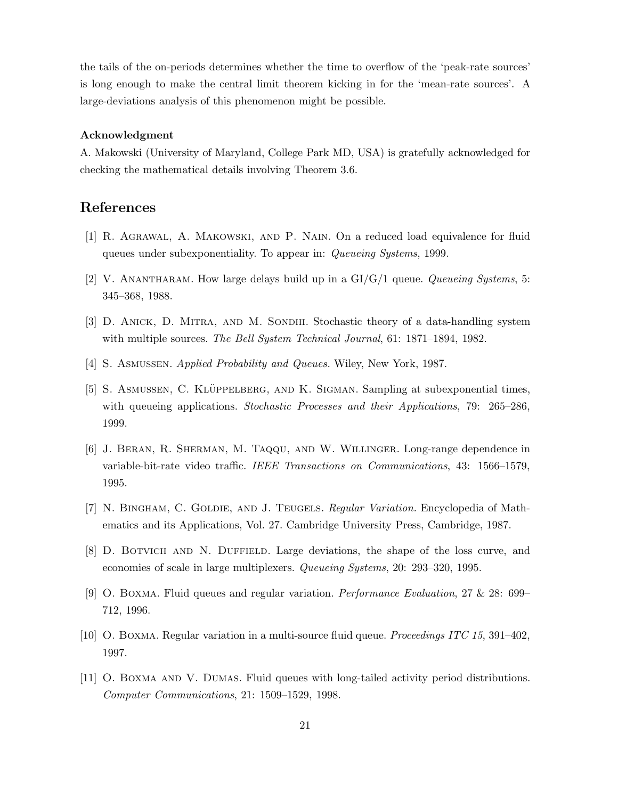the tails of the on-periods determines whether the time to overflow of the 'peak-rate sources' is long enough to make the central limit theorem kicking in for the 'mean-rate sources'. A large-deviations analysis of this phenomenon might be possible.

#### **Acknowledgment**

A. Makowski (University of Maryland, College Park MD, USA) is gratefully acknowledged for checking the mathematical details involving Theorem 3.6.

# **References**

- [1] R. Agrawal, A. Makowski, and P. Nain. On a reduced load equivalence for fluid queues under subexponentiality. To appear in: Queueing Systems, 1999.
- [2] V. ANANTHARAM. How large delays build up in a  $GI/G/1$  queue. *Queueing Systems*, 5: 345–368, 1988.
- [3] D. Anick, D. Mitra, and M. Sondhi. Stochastic theory of a data-handling system with multiple sources. The Bell System Technical Journal, 61: 1871–1894, 1982.
- [4] S. Asmussen. Applied Probability and Queues. Wiley, New York, 1987.
- [5] S. ASMUSSEN, C. KLÜPPELBERG, AND K. SIGMAN. Sampling at subexponential times, with queueing applications. Stochastic Processes and their Applications, 79: 265–286, 1999.
- [6] J. Beran, R. Sherman, M. Taqqu, and W. Willinger. Long-range dependence in variable-bit-rate video traffic. IEEE Transactions on Communications, 43: 1566–1579, 1995.
- [7] N. BINGHAM, C. GOLDIE, AND J. TEUGELS. Regular Variation. Encyclopedia of Mathematics and its Applications, Vol. 27. Cambridge University Press, Cambridge, 1987.
- [8] D. Botvich and N. Duffield. Large deviations, the shape of the loss curve, and economies of scale in large multiplexers. Queueing Systems, 20: 293–320, 1995.
- [9] O. Boxma. Fluid queues and regular variation. Performance Evaluation, 27 & 28: 699– 712, 1996.
- [10] O. Boxma. Regular variation in a multi-source fluid queue. Proceedings ITC 15, 391–402, 1997.
- [11] O. Boxma and V. Dumas. Fluid queues with long-tailed activity period distributions. Computer Communications, 21: 1509–1529, 1998.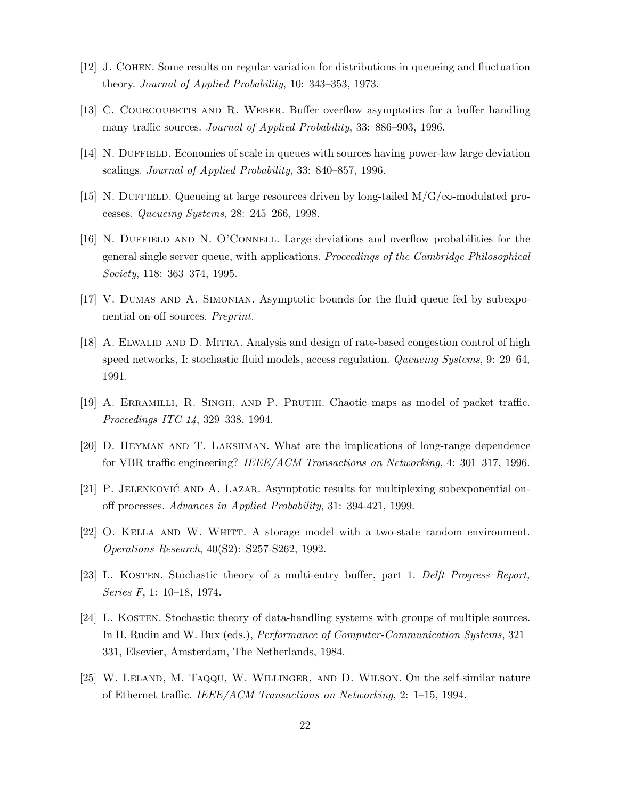- [12] J. Cohen. Some results on regular variation for distributions in queueing and fluctuation theory. Journal of Applied Probability, 10: 343–353, 1973.
- [13] C. COURCOUBETIS AND R. WEBER. Buffer overflow asymptotics for a buffer handling many traffic sources. Journal of Applied Probability, 33: 886–903, 1996.
- [14] N. DUFFIELD. Economies of scale in queues with sources having power-law large deviation scalings. Journal of Applied Probability, 33: 840–857, 1996.
- [15] N. Duffield. Queueing at large resources driven by long-tailed M/G/*∞*-modulated processes. Queueing Systems, 28: 245–266, 1998.
- [16] N. Duffield and N. O'Connell. Large deviations and overflow probabilities for the general single server queue, with applications. Proceedings of the Cambridge Philosophical Society, 118: 363–374, 1995.
- [17] V. Dumas and A. Simonian. Asymptotic bounds for the fluid queue fed by subexponential on-off sources. Preprint.
- [18] A. ELWALID AND D. MITRA. Analysis and design of rate-based congestion control of high speed networks, I: stochastic fluid models, access regulation. Queueing Systems, 9: 29–64, 1991.
- [19] A. Erramilli, R. Singh, and P. Pruthi. Chaotic maps as model of packet traffic. Proceedings ITC 14, 329–338, 1994.
- [20] D. Heyman and T. Lakshman. What are the implications of long-range dependence for VBR traffic engineering? IEEE/ACM Transactions on Networking, 4: 301–317, 1996.
- [21] P. JELENKOVIĆ AND A. LAZAR. Asymptotic results for multiplexing subexponential onoff processes. Advances in Applied Probability, 31: 394-421, 1999.
- [22] O. Kella and W. Whitt. A storage model with a two-state random environment. Operations Research, 40(S2): S257-S262, 1992.
- [23] L. KOSTEN. Stochastic theory of a multi-entry buffer, part 1. Delft Progress Report, Series F, 1: 10–18, 1974.
- [24] L. Kosten. Stochastic theory of data-handling systems with groups of multiple sources. In H. Rudin and W. Bux (eds.), Performance of Computer-Communication Systems, 321– 331, Elsevier, Amsterdam, The Netherlands, 1984.
- [25] W. Leland, M. Taqqu, W. Willinger, and D. Wilson. On the self-similar nature of Ethernet traffic. IEEE/ACM Transactions on Networking, 2: 1–15, 1994.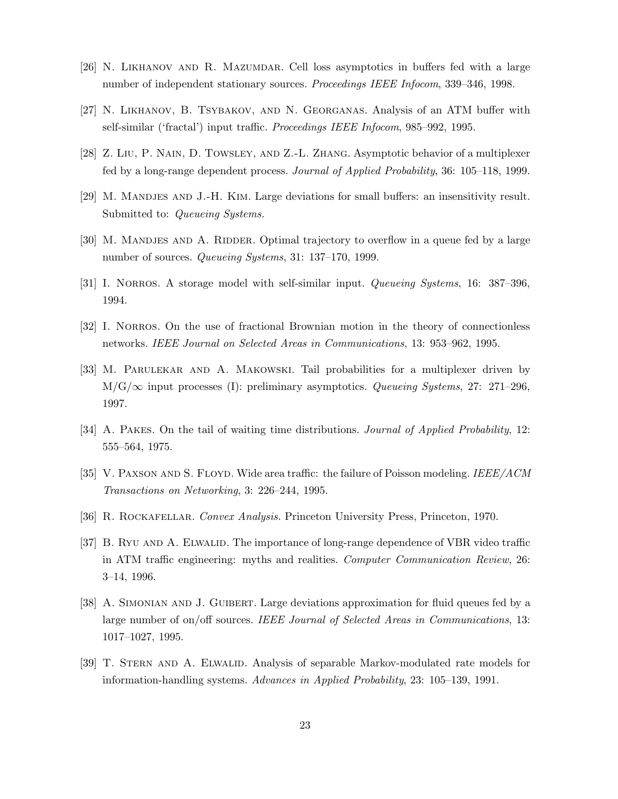- [26] N. Likhanov and R. Mazumdar. Cell loss asymptotics in buffers fed with a large number of independent stationary sources. Proceedings IEEE Infocom, 339–346, 1998.
- [27] N. Likhanov, B. Tsybakov, and N. Georganas. Analysis of an ATM buffer with self-similar ('fractal') input traffic. Proceedings IEEE Infocom, 985–992, 1995.
- [28] Z. Liu, P. Nain, D. Towsley, and Z.-L. Zhang. Asymptotic behavior of a multiplexer fed by a long-range dependent process. Journal of Applied Probability, 36: 105–118, 1999.
- [29] M. Mandjes and J.-H. Kim. Large deviations for small buffers: an insensitivity result. Submitted to: *Queueing Systems*.
- [30] M. MANDJES AND A. RIDDER. Optimal trajectory to overflow in a queue fed by a large number of sources. Queueing Systems, 31: 137–170, 1999.
- [31] I. NORROS. A storage model with self-similar input. *Queueing Systems*, 16: 387–396, 1994.
- [32] I. NORROS. On the use of fractional Brownian motion in the theory of connectionless networks. IEEE Journal on Selected Areas in Communications, 13: 953–962, 1995.
- [33] M. Parulekar and A. Makowski. Tail probabilities for a multiplexer driven by M/G/*∞* input processes (I): preliminary asymptotics. Queueing Systems, 27: 271–296, 1997.
- [34] A. PAKES. On the tail of waiting time distributions. *Journal of Applied Probability*, 12: 555–564, 1975.
- [35] V. PAXSON AND S. FLOYD. Wide area traffic: the failure of Poisson modeling. IEEE/ACM Transactions on Networking, 3: 226–244, 1995.
- [36] R. Rockafellar. Convex Analysis. Princeton University Press, Princeton, 1970.
- [37] B. RYU AND A. ELWALID. The importance of long-range dependence of VBR video traffic in ATM traffic engineering: myths and realities. Computer Communication Review, 26: 3–14, 1996.
- [38] A. Simonian and J. Guibert. Large deviations approximation for fluid queues fed by a large number of on/off sources. IEEE Journal of Selected Areas in Communications, 13: 1017–1027, 1995.
- [39] T. STERN AND A. ELWALID. Analysis of separable Markov-modulated rate models for information-handling systems. Advances in Applied Probability, 23: 105–139, 1991.